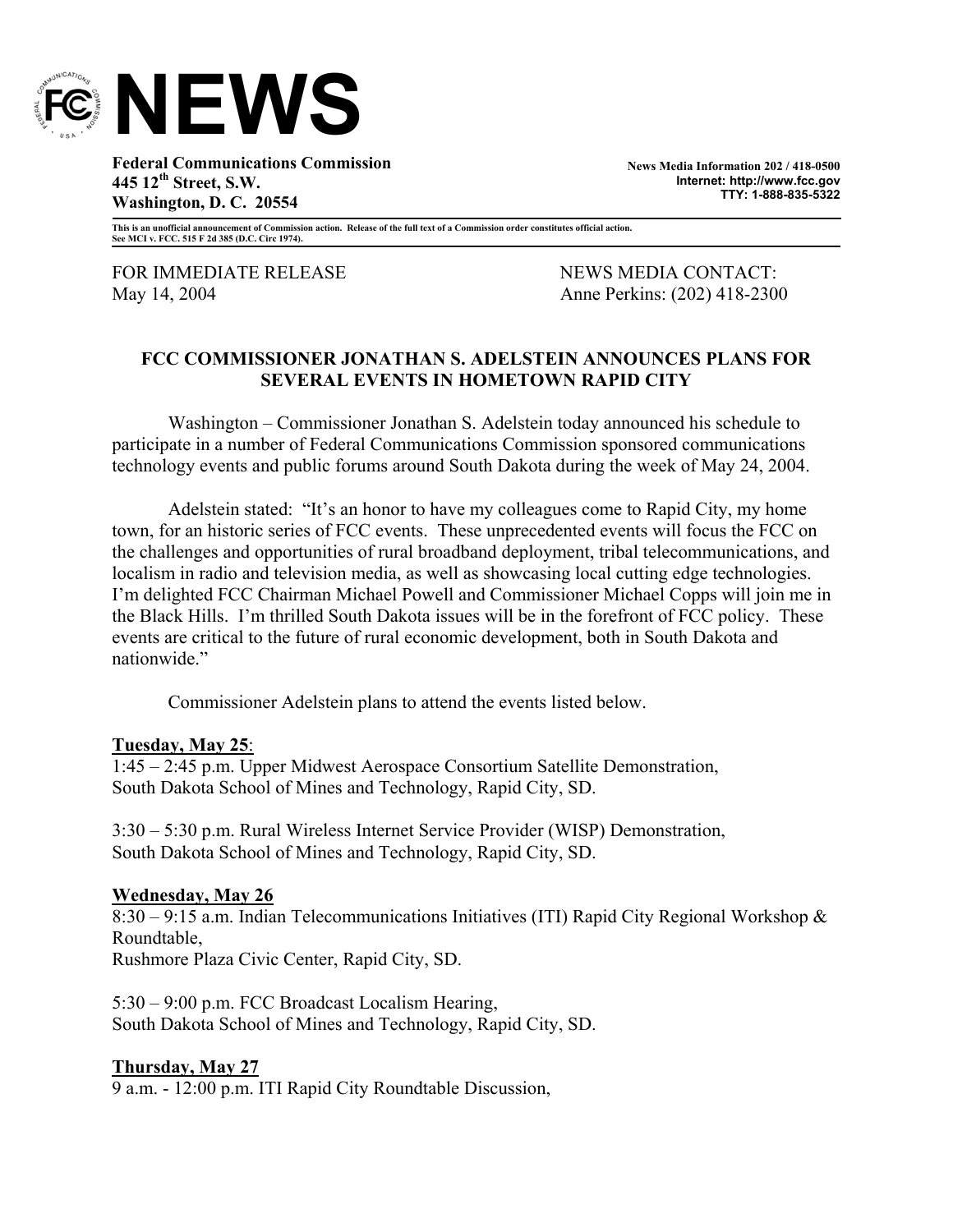

**Federal Communications Commission 445 12th Street, S.W. Washington, D. C. 20554** 

**News Media Information 202 / 418-0500 Internet: http://www.fcc.gov TTY: 1-888-835-5322**

**This is an unofficial announcement of Commission action. Release of the full text of a Commission order constitutes official action. See MCI v. FCC. 515 F 2d 385 (D.C. Circ 1974).** 

FOR IMMEDIATE RELEASE NEWS MEWS MEDIA CONTACT: May 14, 2004 **Anne Perkins: (202) 418-2300** 

## **FCC COMMISSIONER JONATHAN S. ADELSTEIN ANNOUNCES PLANS FOR SEVERAL EVENTS IN HOMETOWN RAPID CITY**

Washington – Commissioner Jonathan S. Adelstein today announced his schedule to participate in a number of Federal Communications Commission sponsored communications technology events and public forums around South Dakota during the week of May 24, 2004.

Adelstein stated: "It's an honor to have my colleagues come to Rapid City, my home town, for an historic series of FCC events. These unprecedented events will focus the FCC on the challenges and opportunities of rural broadband deployment, tribal telecommunications, and localism in radio and television media, as well as showcasing local cutting edge technologies. I'm delighted FCC Chairman Michael Powell and Commissioner Michael Copps will join me in the Black Hills. I'm thrilled South Dakota issues will be in the forefront of FCC policy. These events are critical to the future of rural economic development, both in South Dakota and nationwide."

Commissioner Adelstein plans to attend the events listed below.

## **Tuesday, May 25**:

1:45 – 2:45 p.m. Upper Midwest Aerospace Consortium Satellite Demonstration, South Dakota School of Mines and Technology, Rapid City, SD.

3:30 – 5:30 p.m. Rural Wireless Internet Service Provider (WISP) Demonstration, South Dakota School of Mines and Technology, Rapid City, SD.

## **Wednesday, May 26**

8:30 – 9:15 a.m. Indian Telecommunications Initiatives (ITI) Rapid City Regional Workshop & Roundtable,

Rushmore Plaza Civic Center, Rapid City, SD.

5:30 – 9:00 p.m. FCC Broadcast Localism Hearing, South Dakota School of Mines and Technology, Rapid City, SD.

## **Thursday, May 27**

9 a.m. - 12:00 p.m. ITI Rapid City Roundtable Discussion,